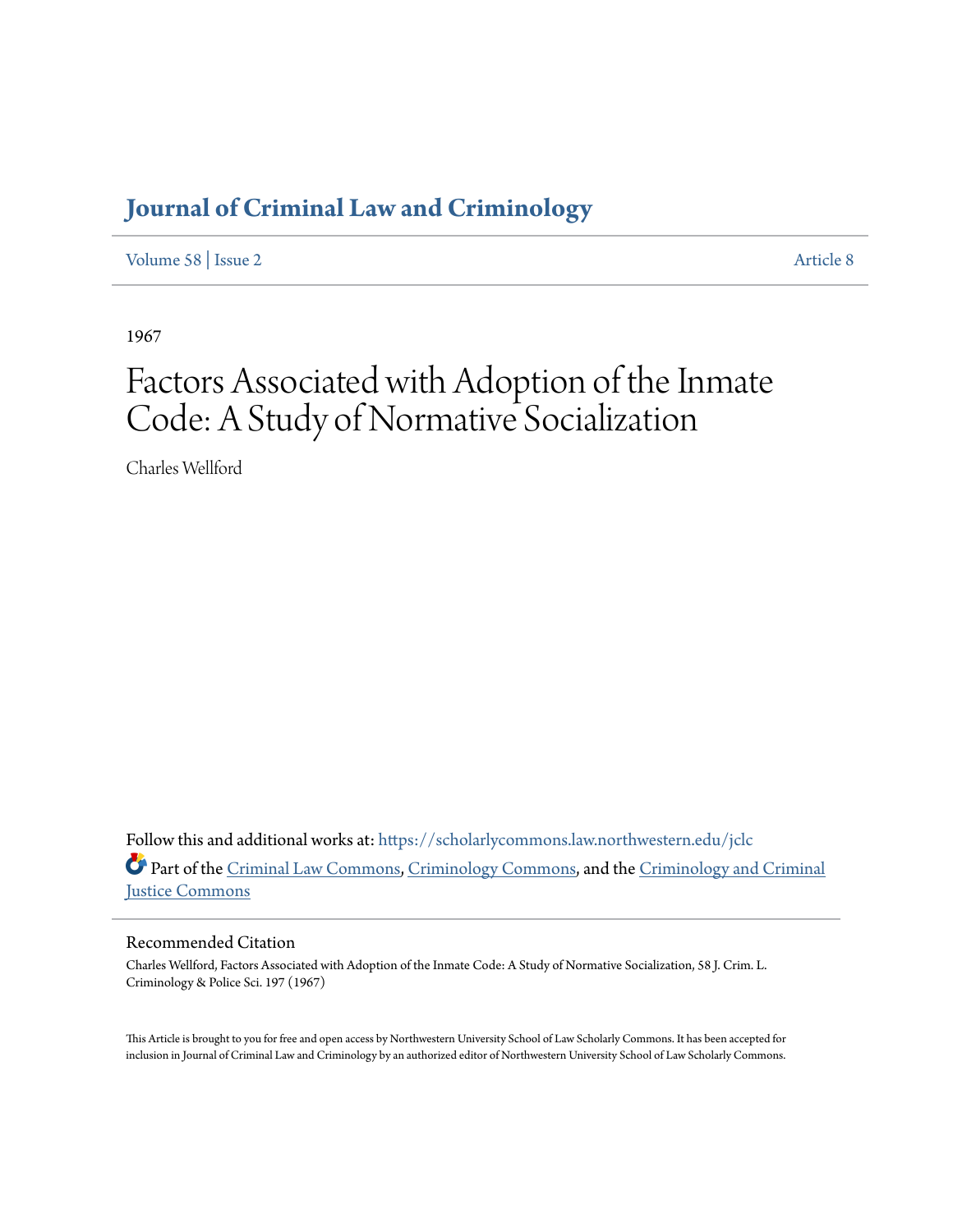# **[Journal of Criminal Law and Criminology](https://scholarlycommons.law.northwestern.edu/jclc?utm_source=scholarlycommons.law.northwestern.edu%2Fjclc%2Fvol58%2Fiss2%2F8&utm_medium=PDF&utm_campaign=PDFCoverPages)**

[Volume 58](https://scholarlycommons.law.northwestern.edu/jclc/vol58?utm_source=scholarlycommons.law.northwestern.edu%2Fjclc%2Fvol58%2Fiss2%2F8&utm_medium=PDF&utm_campaign=PDFCoverPages) | [Issue 2](https://scholarlycommons.law.northwestern.edu/jclc/vol58/iss2?utm_source=scholarlycommons.law.northwestern.edu%2Fjclc%2Fvol58%2Fiss2%2F8&utm_medium=PDF&utm_campaign=PDFCoverPages) [Article 8](https://scholarlycommons.law.northwestern.edu/jclc/vol58/iss2/8?utm_source=scholarlycommons.law.northwestern.edu%2Fjclc%2Fvol58%2Fiss2%2F8&utm_medium=PDF&utm_campaign=PDFCoverPages)

1967

# Factors Associated with Adoption of the Inmate Code: A Study of Normative Socialization

Charles Wellford

Follow this and additional works at: [https://scholarlycommons.law.northwestern.edu/jclc](https://scholarlycommons.law.northwestern.edu/jclc?utm_source=scholarlycommons.law.northwestern.edu%2Fjclc%2Fvol58%2Fiss2%2F8&utm_medium=PDF&utm_campaign=PDFCoverPages) Part of the [Criminal Law Commons](http://network.bepress.com/hgg/discipline/912?utm_source=scholarlycommons.law.northwestern.edu%2Fjclc%2Fvol58%2Fiss2%2F8&utm_medium=PDF&utm_campaign=PDFCoverPages), [Criminology Commons](http://network.bepress.com/hgg/discipline/417?utm_source=scholarlycommons.law.northwestern.edu%2Fjclc%2Fvol58%2Fiss2%2F8&utm_medium=PDF&utm_campaign=PDFCoverPages), and the [Criminology and Criminal](http://network.bepress.com/hgg/discipline/367?utm_source=scholarlycommons.law.northwestern.edu%2Fjclc%2Fvol58%2Fiss2%2F8&utm_medium=PDF&utm_campaign=PDFCoverPages) [Justice Commons](http://network.bepress.com/hgg/discipline/367?utm_source=scholarlycommons.law.northwestern.edu%2Fjclc%2Fvol58%2Fiss2%2F8&utm_medium=PDF&utm_campaign=PDFCoverPages)

### Recommended Citation

Charles Wellford, Factors Associated with Adoption of the Inmate Code: A Study of Normative Socialization, 58 J. Crim. L. Criminology & Police Sci. 197 (1967)

This Article is brought to you for free and open access by Northwestern University School of Law Scholarly Commons. It has been accepted for inclusion in Journal of Criminal Law and Criminology by an authorized editor of Northwestern University School of Law Scholarly Commons.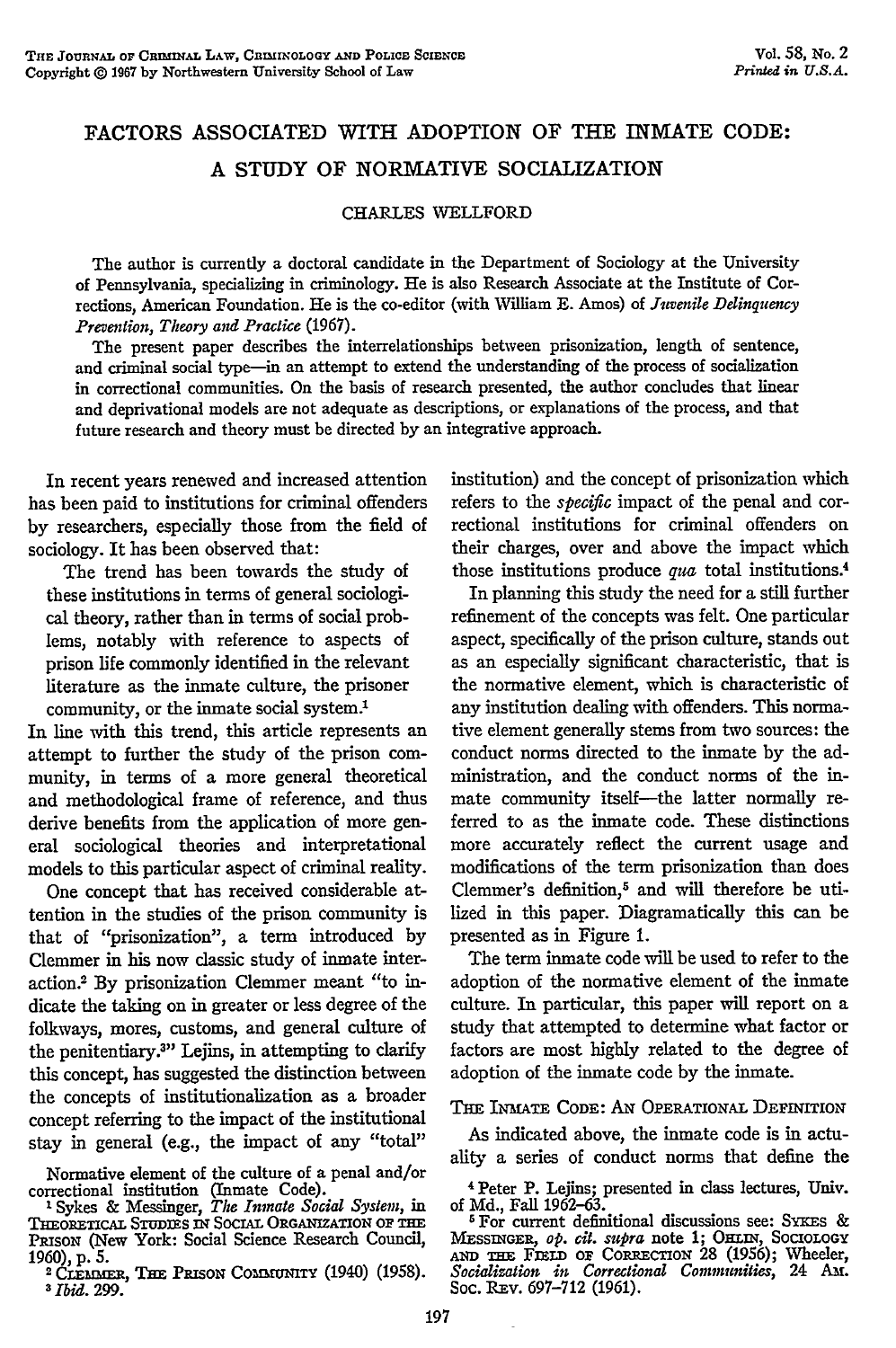## FACTORS **ASSOCIATED** WITH ADOPTION OF THE INMATE **CODE: A STUDY** OF NORMATIVE SOCIALIZATION

#### CHARLES WELLFORD

The author is currently a doctoral candidate in the Department of Sociology at the University of Pennsylvania, specializing in criminology. He is also Research Associate at the Institute of Corrections, American Foundation. He is the co-editor (with William **E.** Amos) of *JTvenile Delinquency Prevention, Theory anud Practice* **(1967).**

The present paper describes the interrelationships between prisonization, length of sentence, and criminal social type-in an attempt to extend the understanding of the process of socialization in correctional communities. On the basis of research presented, the author concludes that linear and deprivational models are not adequate as descriptions, or explanations of the process, and that future research and theory must be directed **by** an integrative approach.

In recent years renewed and increased attention has been paid to institutions for criminal offenders by researchers, especially those from the field of sociology. It has been observed that:

The trend has been towards the study of these institutions in terms of general sociological theory, rather than in terms of social problems, notably with reference to aspects of prison life commonly identified in the relevant literature as the inmate culture, the prisoner community, or the inmate social system'

In line with this trend, this article represents an attempt to further the study of the prison community, in terms of a more general theoretical and methodological frame of reference, and thus derive benefits from the application of more general sociological theories and interpretational models to this particular aspect of criminal reality.

One concept that has received considerable attention in the studies of the prison community is that of "prisonization", a term introduced by Clemmer in his now classic study of inmate interaction.2 By prisonization Clemmer meant "to indicate the taking on in greater or less degree of the folkways, mores, customs, and general culture of the penitentiary.<sup>31</sup> Lejins, in attempting to clarify this concept, has suggested the distinction between the concepts of institutionalization as a broader concept referring to the impact of the institutional stay in general (e.g., the impact of any "total"

1960), p. 5.<br>
<sup>2</sup> Clemmer, The Prison Community (1940) (1958)<br>
<sup>3</sup> *Ibid.* 299.

institution) and the concept of prisonization which refers to the *specific* impact of the penal and correctional institutions for criminal offenders on their charges, over and above the impact which those institutions produce *qua* total institutions.<sup>4</sup>

In planning this study the need for a still further refinement of the concepts was felt. One particular aspect, specifically of the prison culture, stands out as an especially significant characteristic, that is the normative element, which is characteristic of any institution dealing with offenders. This normative element generally stems from two sources: the conduct norms directed to the inmate by the administration, and the conduct norms of the inmate community itself-the latter normally referred to as the inmate code. These distinctions more accurately reflect the current usage and modifications of the term prisonization than does Clemmer's definition,<sup>5</sup> and will therefore be utilized in this paper. Diagramatically this can be presented as in Figure 1.

The term inmate code will be used to refer to the adoption of the normative element of the inmate culture. In particular, this paper will report on a study that attempted to determine what factor or factors are most highly related to the degree of adoption of the inmate code by the inmate.

THE INMATE CODE: AN OPERATIONAL DEFINITION

As indicated above, the inmate code is in actuality a series of conduct norms that define the

Normative element of the culture of a penal and/or correctional institution (Inmate Code).

**I** Sykes & Messinger, Tie *Inmate Social System, in* **THEoRETIcAL** STiEs **3N** SOCIAL **ORGANIZATION OF THE** PRIsoN (New York: Social Science Research Council,

<sup>4</sup> Peter P. Lejins; presented in class lectures, Univ. of Md., Fall 1962-63.<br><sup>5</sup>For current definitional discussions see: SYKES &

MESSINGER, *op. cit. supra* note 1; OHLrN, SOCIOLOGY *AND um* **FIELD** op CoRRECTIoN **28 (1956);** Wheeler, *Socialization in Correctional Communities,* 24 Am. Soc. REv. 697-712 (1961).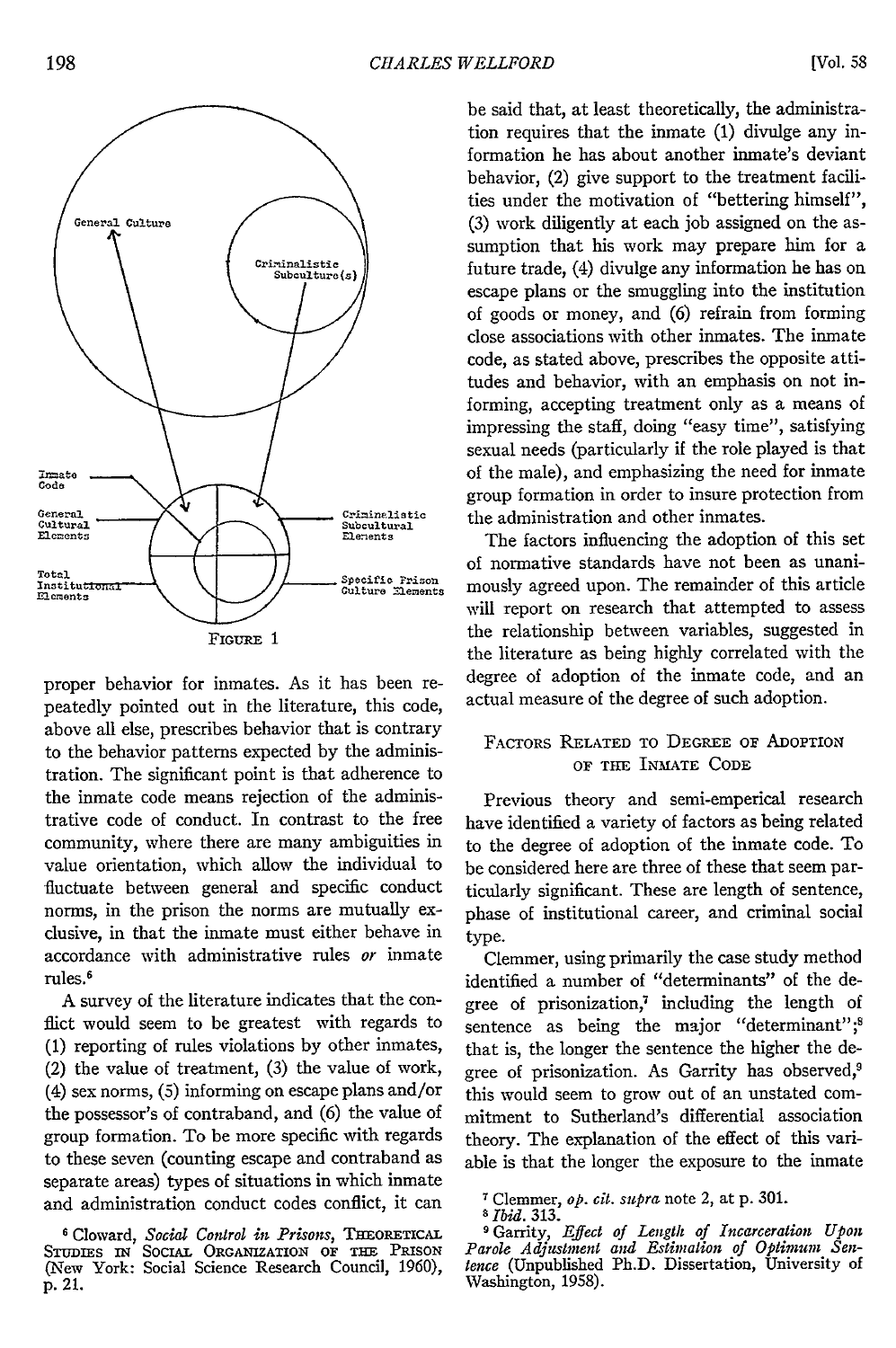

proper behavior for inmates. As it has been repeatedly pointed out in the literature, this code, above all else, prescribes behavior that is contrary to the behavior patterns expected by the administration. The significant point is that adherence to the inmate code means rejection of the administrative code of conduct. In contrast to the free community, where there are many ambiguities in value orientation, which allow the individual to fluctuate between general and specific conduct norms, in the prison the norms are mutually exclusive, in that the inmate must either behave in accordance with administrative rules *or* inmate rules.<sup>6</sup>

A survey of the literature indicates that the conflict would seem to be greatest with regards to (1) reporting of rules violations by other inmates, (2) the value of treatment, (3) the value of work, (4) sex norms, (5) informing on escape plans and/or the possessor's of contraband, and (6) the value of group formation. To be more specific with regards to these seven (counting escape and contraband as separate areas) types of situations in which inmate and administration conduct codes conflict, it can

**6** Cloward, *Social Control in Prisons,* THEORETICAL STUDIES IN SOCIAL ORGANIZATION OF THE PRISON (New York: Social Science Research Council, 1960), p. 21.

be said that, at least theoretically, the administration requires that the inmate (1) divulge any information he has about another inmate's deviant behavior, (2) give support to the treatment facilities under the motivation of "bettering himself", (3) work diligently at each job assigned on the assumption that his work may prepare him for a future trade, (4) divulge any information he has on escape plans or the smuggling into the institution of goods or money, and (6) refrain from forming close associations with other inmates. The inmate code, as stated above, prescribes the opposite attitudes and behavior, with an emphasis on not informing, accepting treatment only as a means of impressing the staff, doing "easy time", satisfying sexual needs (particularly if the role played is that of the male), and emphasizing the need for inmate group formation in order to insure protection from the administration and other inmates.

The factors influencing the adoption of this set of normative standards have not been as unanimously agreed upon. The remainder of this article will report on research that attempted to assess the relationship between variables, suggested in the literature as being highly correlated with the degree of adoption of the inmate code, and an actual measure of the degree of such adoption.

#### FACTORS RELATED TO DEGREE OF **ADOPTION OF TIlE** INMATE **CODE**

Previous theory and semi-emperical research have identified a variety of factors as being related to the degree of adoption of the inmate code. To be considered here are three of these that seem particularly significant. These are length of sentence, phase of institutional career, and criminal social type.

Clemmer, using primarily the case study method identified a number of "determinants" of the degree of prisonization,7 including the length of sentence as being the major "determinant";<sup>8</sup> that is, the longer the sentence the higher the degree of prisonization. As Garrity has observed,<sup>9</sup> this would seem to grow out of an unstated commitment to Sutherland's differential association theory. The explanation of the effect of this variable is that the longer the exposure to the inmate

**9** Garrity, *Effect of* Length *of Incarceration Upon Parole Adjustment and Estimation of Optimum Sen-tence* (Unpublished Ph.D. Dissertation, University of Washington, 1958).

**<sup>7</sup>** Clemmer, *op. cit. supra* note 2, at p. 301.

*<sup>8</sup> Ibid.* 313.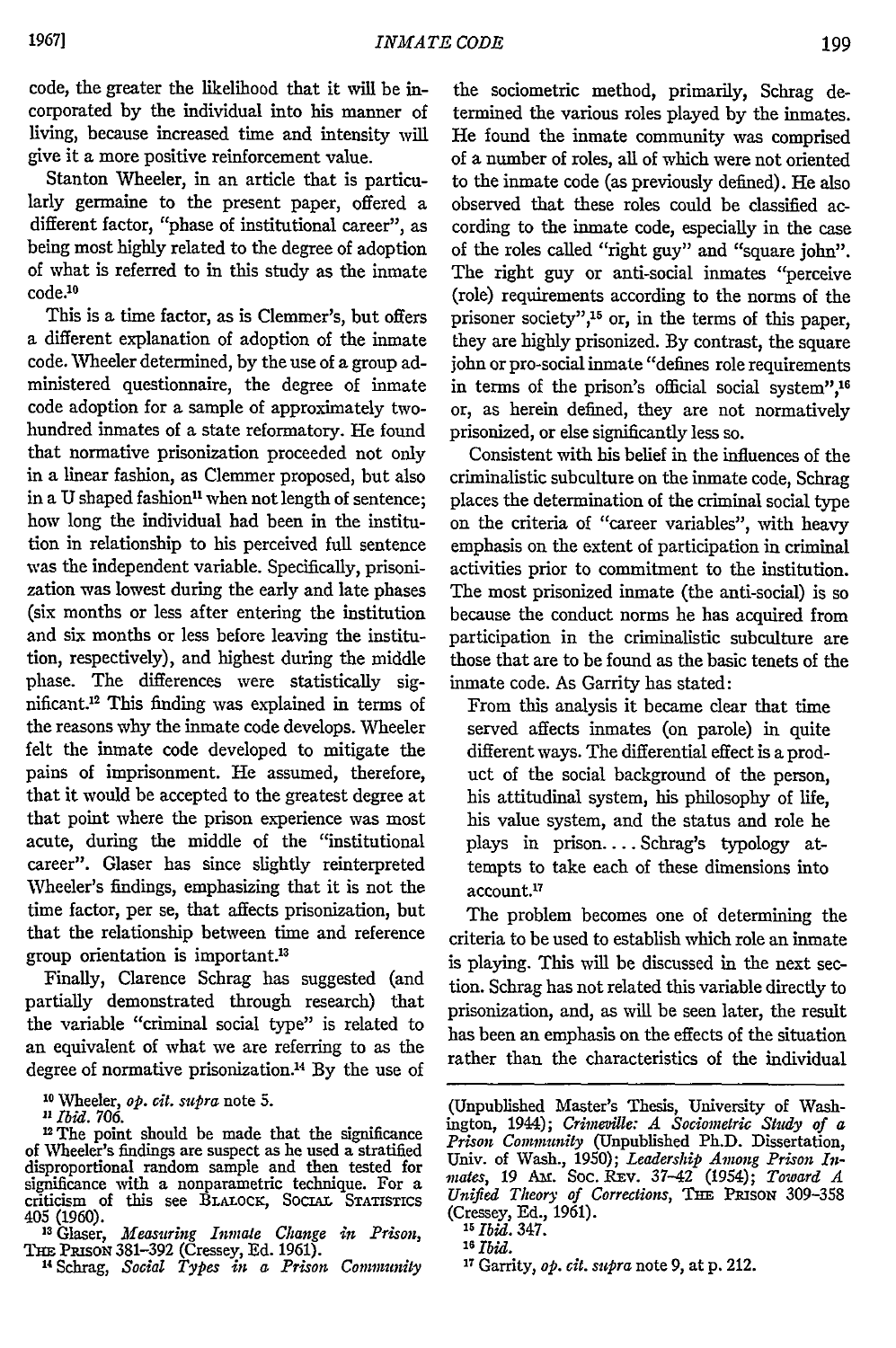*INMATE CODE*

code, the greater the likelihood that it will be incorporated by the individual into his manner of living, because increased time and intensity will give it a more positive reinforcement value.

Stanton Wheeler, in an article that is particularly germaine to the present paper, offered a different factor, "phase of institutional career", as being most highly related to the degree of adoption of what is referred to in this study as the inmate code.10

This is a time factor, as is Clemmer's, but offers a different explanation of adoption of the inmate code. Wheeler determined, by the use of a group administered questionnaire, the degree of inmate code adoption for a sample of approximately twohundred inmates of a state reformatory. He found that normative prisonization proceeded not only in a linear fashion, as Clemmer proposed, but also in a U shaped fashion<sup>11</sup> when not length of sentence; how long the individual had been in the institution in relationship to his perceived full sentence was the independent variable. Specifically, prisonization was lowest during the early and late phases (six months or less after entering the institution and six months or less before leaving the institution, respectively), and highest during the middle phase. The differences were statistically significant.<sup>12</sup> This finding was explained in terms of the reasons why the inmate code develops. Wheeler felt the inmate code developed to mitigate the pains of imprisonment. He assumed, therefore, that it would be accepted to the greatest degree at that point where the prison experience was most acute, during the middle of the "institutional career". Glaser has since slightly reinterpreted Wheeler's findings, emphasizing that it is not the time factor, per se, that affects prisonization, but that the relationship between time and reference group orientation is important.<sup>13</sup>

Finally, Clarence Schrag has suggested (and partially demonstrated through research) that the variable "criminal social type" is related to an equivalent of what we are referring to as the degree of normative prisonization.<sup>14</sup> By the use of

**10** Wheeler, *op. cit. supra* note 5.

*11 Ibid. 706.*

<sup>12</sup> The point should be made that the significance **of** Wheeler's findings are suspect as he used a stratified disproportional random sample and then tested for significance with a nonparametric technique. For a criticism of this see BLALOCK, SOCIAL STATISTICS

<sup>405</sup>**(1960). <sup>13</sup>**Glaser, *Measuring Inmate Change in Prison,* TnE PRISON **381-392** (Cressey, **Ed.** 1961). <sup>14</sup>Schrag, *Social Types in a Prison Community*

the sociometric method, primarily, Schrag determined the various roles played by the inmates. He found the inmate community was comprised of a number of roles, all of which were not oriented to the inmate code (as previously defined). He also observed that these roles could be classified according to the inmate code, especially in the case of the roles called "right guy" and "square john". The right guy or anti-social inmates "perceive (role) requirements according to the norms of the prisoner society",<sup>15</sup> or, in the terms of this paper, they are highly prisonized. By contrast, the square john or pro-social inmate "defines role requirements in terms of the prison's official social system",16 or, as herein defined, they are not normatively prisonized, or else significantly less so.

Consistent with his belief in the influences of the criminalistic subculture on the inmate code, Schrag places the determination of the criminal social type on the criteria of "career variables", with heavy emphasis on the extent of participation in criminal activities prior to commitment to the institution. The most prisonized inmate (the anti-social) is so because the conduct norms he has acquired from participation in the criminalistic subculture are those that are to be found as the basic tenets of the inmate code. As Garrity has stated:

From this analysis it became clear that time served affects inmates (on parole) in quite different ways. The differential effect is a product of the social background of the person, his attitudinal system, his philosophy of life, his value system, and the status and role he plays in prison.... Schrag's typology attempts to take each of these dimensions into account.<sup>17</sup>

The problem becomes one of determining the criteria to be used to establish which role an inmate is playing. This will be discussed in the next section. Schrag has not related this variable directly to prisonization, and, as will be seen later, the result has been an emphasis on the effects of the situation rather than the characteristics of the individual

<sup>(</sup>Unpublished Master's Thesis, University of Washington, 1944); *Crimnville: A Sociometric Study of a Prison Community* (Unpublished Ph.D. Dissertation, Univ. of Wash., **1950);** *Leadership Among Prison In-mates,* 19 **Am.** Soc. Rv. 37-42 (1954); *Toward A Unified Theory of Corrections,* Tim PRIsoN 309-358 (Cressey, Ed., 1961).

*<sup>1&</sup>quot; Ibid.* 347.

*<sup>1</sup> 6 Ibid.*

**<sup>17</sup>**Garrity, *op. cit. supra* note 9, at p. 212.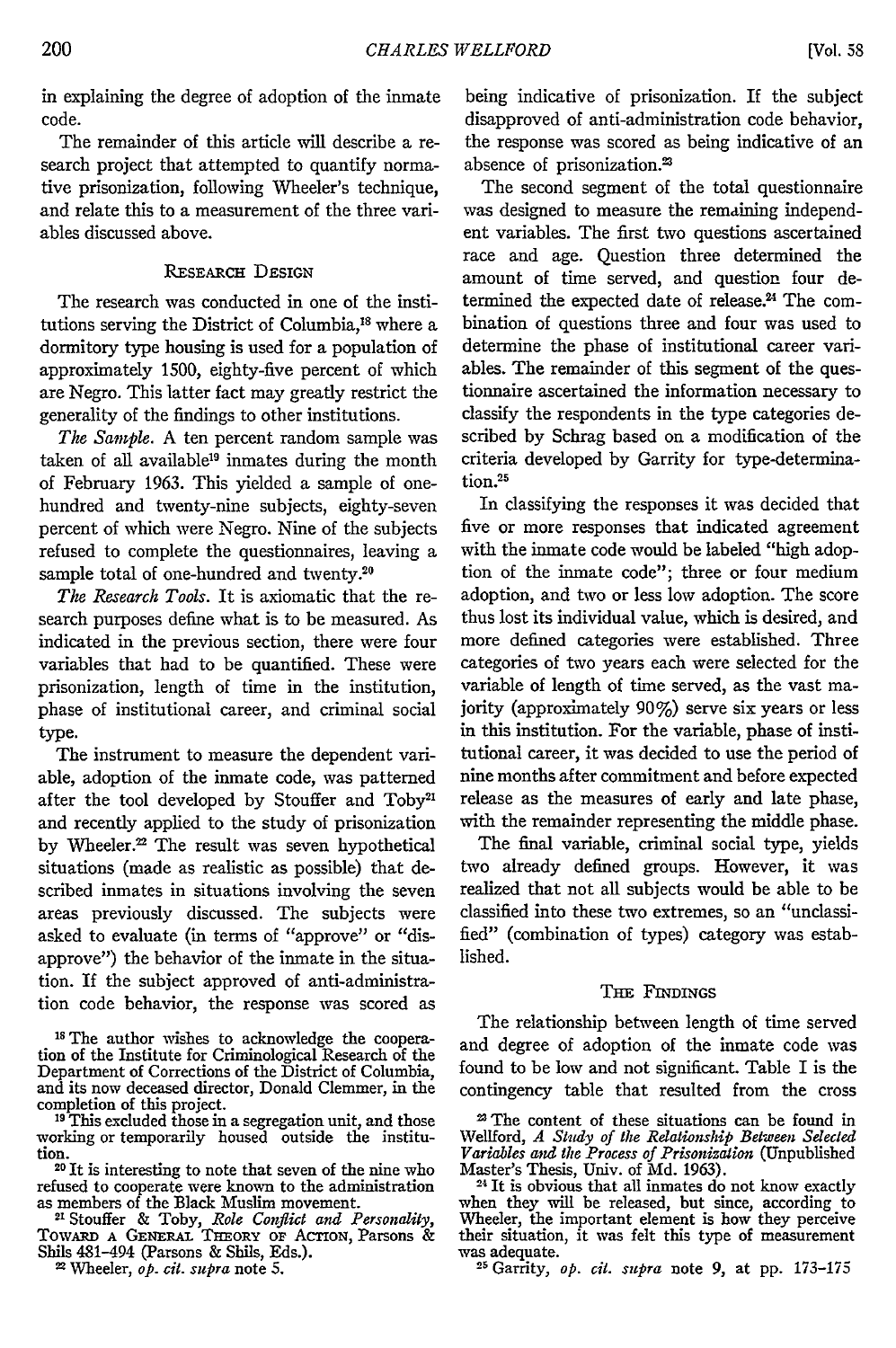in explaining the degree of adoption of the inmate code.

The remainder of this article will describe a research project that attempted to quantify normative prisonization, following Wheeler's technique, and relate this to a measurement of the three variables discussed above.

#### RESEARCH DESIGN

The research was conducted in one of the institutions serving the District of Columbia,<sup>18</sup> where a dormitory type housing is used for a population of approximately 1500, eighty-five percent of which are Negro. This latter fact may greatly restrict the generality of the findings to other institutions.

*The Sample.* A ten percent random sample was taken of all available<sup>19</sup> inmates during the month of February 1963. This yielded a sample of onehundred and twenty-nine subjects, eighty-seven percent of which were Negro. Nine of the subjects refused to complete the questionnaires, leaving a sample total of one-hundred and twenty.<sup>20</sup>

*The Research Tools.* It is axiomatic that the research purposes define what is to be measured. As indicated in the previous section, there were four variables that had to be quantified. These were prisonization, length of time in the institution, phase of institutional career, and criminal social type.

The instrument to measure the dependent variable, adoption of the inmate code, was patterned after the tool developed by Stouffer and Toby<sup>21</sup> and recently applied to the study of prisonization by Wheeler.<sup>22</sup> The result was seven hypothetical situations (made as realistic as possible) that described inmates in situations involving the seven areas previously discussed. The subjects were asked to evaluate (in terms of "approve" or "disapprove") the behavior of the inmate in the situation. If the subject approved of anti-administration code behavior, the response was scored as

**18** The author wishes to acknowledge the cooperation of the Institute for Criminological Research of the Department of Corrections of the District of Columbia, and its now deceased director, Donald Clemmer, in the completion of this project. **<sup>19</sup>**This excluded those in a segregation unit, and those

working or temporarily housed outside the institu-

tion.<br><sup>20</sup> It is interesting to note that seven of the nine who refused to cooperate were known to the administration as members of the Black Muslim movement.

**11** Stouffer & Toby, *Role Conflict and Personality,* ToWARD **A GENERAL** THzoRx or ACTION, Parsons & Shils 481-494 (Parsons & Shils, Eds.).

*2"* Wheeler, *op. cit. supra* note *5.*

being indicative of prisonization. If the subject disapproved of anti-administration code behavior, the response was scored as being indicative of an absence of prisonization.<sup>23</sup>

The second segment of the total questionnaire was designed to measure the remaining independent variables. The first two questions ascertained race and age. Question three determined the amount of time served, and question four determined the expected date of release.<sup>24</sup> The combination of questions three and four was used to determine the phase of institutional career variables. The remainder of this segment of the questionnaire ascertained the information necessary to classify the respondents in the type categories described by Schrag based on a modification of the criteria developed by Garrity for type-determination.25

In classifying the responses it was decided that five or more responses that indicated agreement with the inmate code would be labeled "high adoption of the inmate code"; three or four medium adoption, and two or less low adoption. The score thus lost its individual value, which is desired, and more defined categories were established. Three categories of two years each were selected for the variable of length of time served, as the vast majority (approximately 90%) serve six years or less in this institution. For the variable, phase of institutional career, it was decided to use the period of nine months after commitment and before expected release as the measures of early and late phase, with the remainder representing the middle phase.

The final variable, criminal social type, yields two already defined groups. However, it was realized that not all subjects would be able to be classified into these two extremes, so an "unclassified" (combination of types) category was established.

#### **THE FINDINGS**

The relationship between length of time served and degree of adoption of the inmate code was found to be low and not significant. Table I is the contingency table that resulted from the cross

<sup>2</sup> The content of these situations can be found in Weilford, *A* Study *of the Relationship Between Selected Variables and the Process of Prisonization* (Unpublished Master's Thesis, Univ. of Md. 1963).

<sup>&</sup>lt;sup>24</sup>It is obvious that all inmates do not know exactly when they will be released, but since, according to Wheeler, the important element is how they perceive their situation, it was felt this type of measurement was adequate.<br>was adequate.<br><sup>25</sup> Garrity, *op. cit. supra* pote 9, at pp. 173-175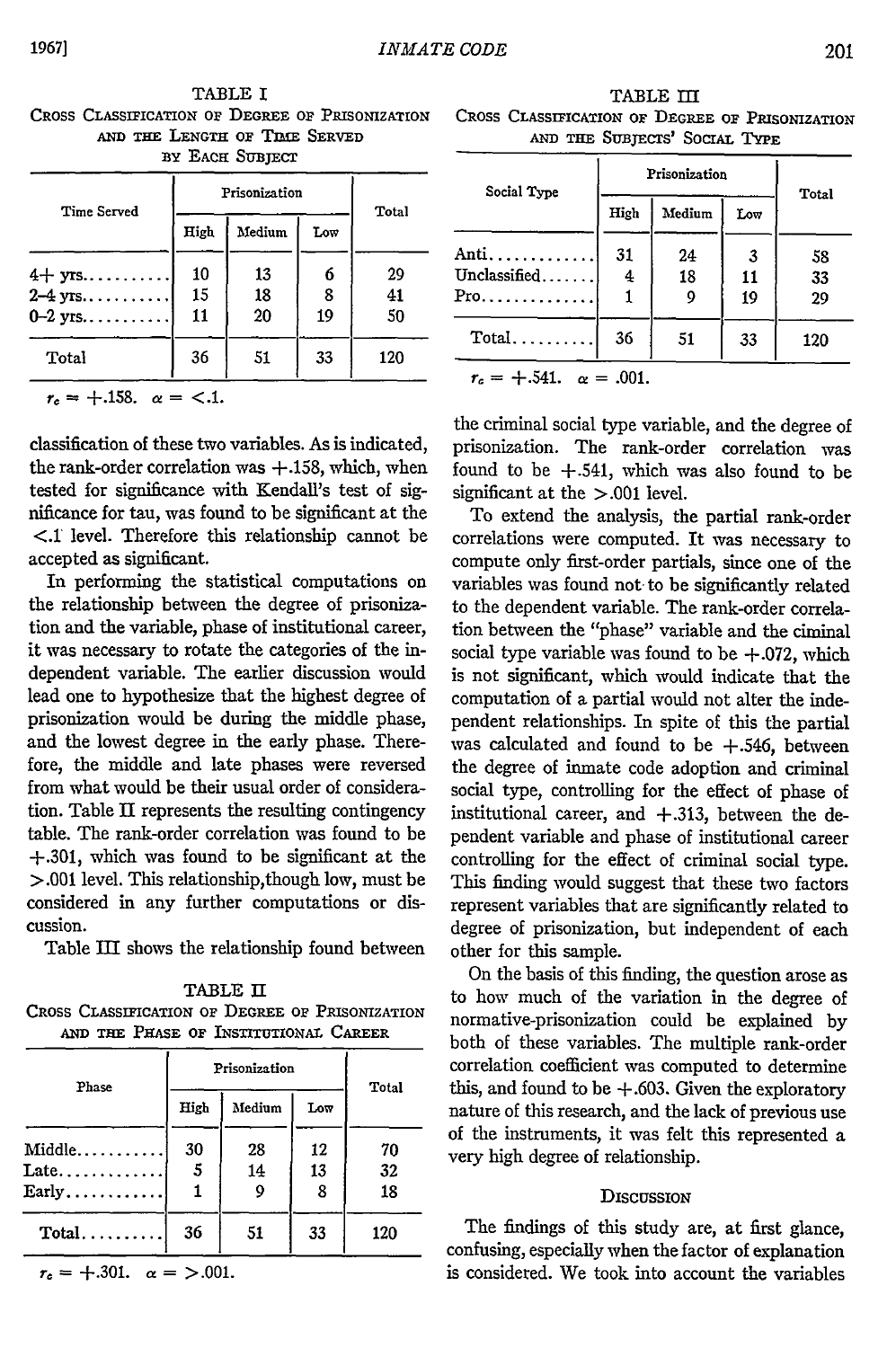TABLE I **CROSS CLASSIFICATION** OF DEGREE **OF** PRISONIZATION **AND THE LENGTH** OF TiME **SERVED BY** EACH SUBJECT

|      | Total  |     |               |
|------|--------|-----|---------------|
| High | Medium | Low |               |
| 10   | 13     | 6   | 29            |
| 15   | 18     | 8   | 41            |
| 11   | 20     | 19  | 50            |
| 36   | 51     | 33  | 120           |
|      |        |     | Prisonization |

 $r_c = +0.158$ .  $\alpha = 0.1$ .

classification of these two variables. As is indicated, the rank-order correlation was  $+.158$ , which, when tested for significance with Kendall's test of significance for tau, was found to be significant at the <.1 level. Therefore this relationship cannot be accepted as significant.

In performing the statistical computations on the relationship between the degree of prisonization and the variable, phase of institutional career, it was necessary to rotate the categories of the independent variable. The earlier discussion would lead one to hypothesize that the highest degree of prisonization would be during the middle phase, and the lowest degree in the early phase. Therefore, the middle and late phases were reversed from what would be their usual order of consideration. Table II represents the resulting contingency table. The rank-order correlation was found to be +.301, which was found to be significant at the >.001 level. This relationship,though low, must be considered in any further computations or discussion.

Table III shows the relationship found between

TABLE II CROSS **CLASSIFICATION** OF DEGREE **OF** PRISONIZATION **AND THE PHASE** OF INSTITUTIONAL **CAREER**

| Phase                                                       | Prisonization | Total         |               |                |
|-------------------------------------------------------------|---------------|---------------|---------------|----------------|
|                                                             | High          | Medium        | Low           |                |
| Middle<br>$\text{Date}$<br>$\text{Early} \dots \dots \dots$ | 30<br>-5      | 28<br>14<br>9 | 12<br>13<br>8 | 70<br>32<br>18 |
| $Total \dots \dots$                                         | 36            | 51            | 33            | 120            |

```
r_c = +0.301. \alpha = >0.001.
```
TABLE I **CROSS CLASSIFICATION OF** DEGREE **OF** PRISONIZATION **AND THE** SUBJECTS' **SOCIAL** TYPE

| Social Type                                                | Prisonization        |               |               |                |
|------------------------------------------------------------|----------------------|---------------|---------------|----------------|
|                                                            | High                 | Medium        | Low           | Total          |
| Anti<br>Unclassified<br>$Pro. \ldots \ldots \ldots \ldots$ | 31<br>$\overline{4}$ | 24<br>18<br>9 | 3<br>11<br>19 | 58<br>33<br>29 |
| $Total$                                                    | 36                   | 51            | 33            | 120            |
| $r_c = +0.541$ . $\alpha = 0.001$ .                        |                      |               |               |                |

the criminal social type variable, and the degree of prisonization. The rank-order correlation was found to be +.541, which was also found to be significant at the  $> 0.001$  level.

To extend the analysis, the partial rank-order correlations were computed. It was necessary to compute only first-order partials, since one of the variables was found not, to be significantly related to the dependent variable. The rank-order correlation between the "phase" variable and the ciminal social type variable was found to be  $+.072$ , which is not significant, which would indicate that the computation of a partial would not alter the independent relationships. In spite of this the partial was calculated and found to be  $+.546$ , between the degree of inmate code adoption and criminal social type, controlling for the effect of phase of institutional career, and  $+.313$ , between the dependent variable and phase of institutional career controlling for the effect of criminal social type. This finding would suggest that these two factors represent variables that are significantly related to degree of prisonization, but independent of each other for this sample.

On the basis of this finding, the question arose as to how much of the variation in the degree of normative-prisonization could be explained by both of these variables. The multiple rank-order correlation coefficient was computed to determine this, and found to be  $+.603$ . Given the exploratory nature of this research, and the lack of previous use of the instruments, it was felt this represented a very high degree of relationship.

#### **DISCUSSION**

The findings of this study are, at first glance, confusing, especially when the factor of explanation is considered. We took into account the variables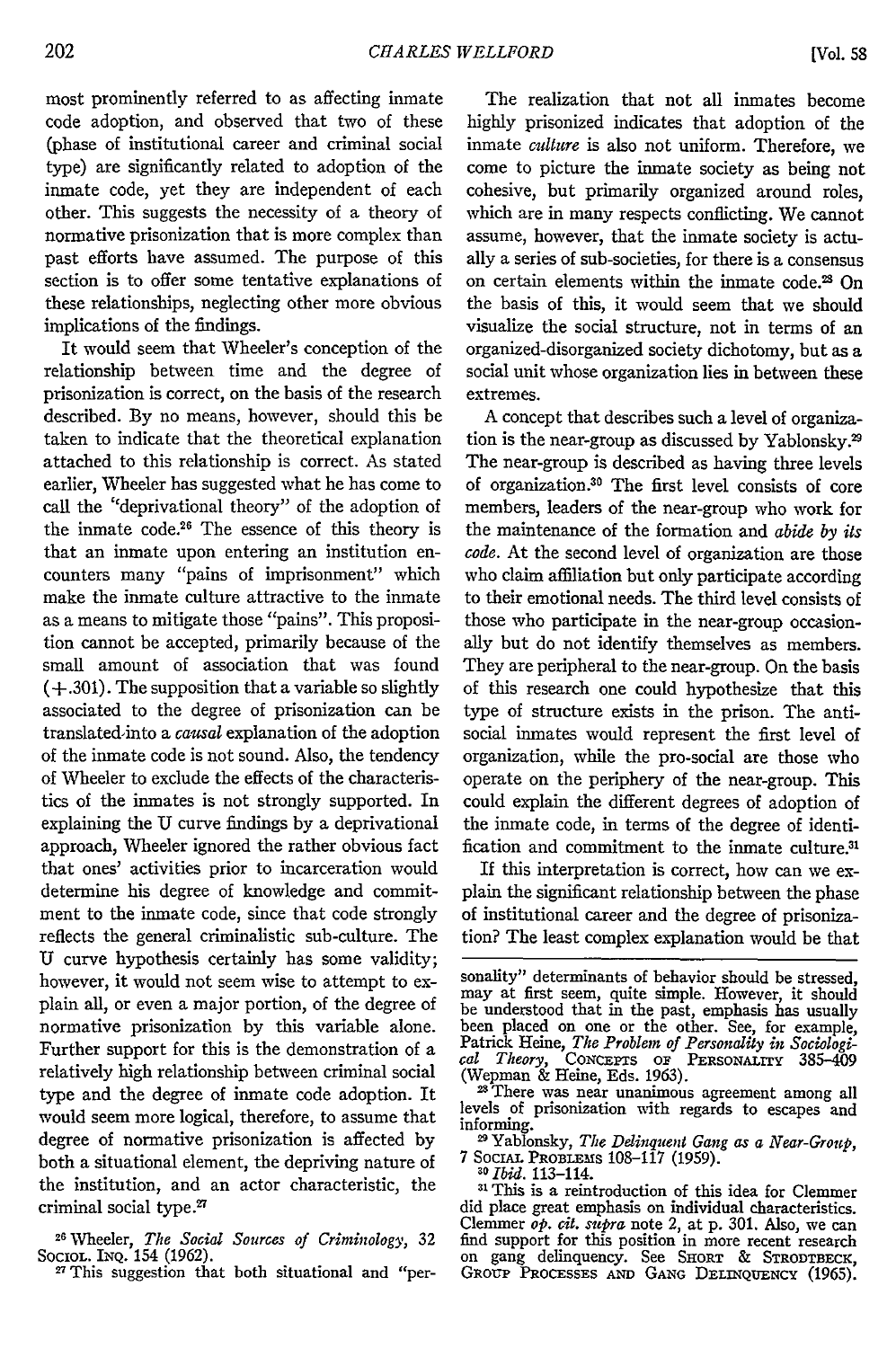most prominently referred to as affecting inmate code adoption, and observed that two of these (phase of institutional career and criminal social type) are significantly related to adoption of the inmate code, yet they are independent of each other. This suggests the necessity of a theory of normative prisonization that is more complex than past efforts have assumed. The purpose of this section is to offer some tentative explanations of these relationships, neglecting other more obvious implications of the findings.

It would seem that Wheeler's conception of the relationship between time and the degree of prisonization is correct, on the basis of the research described. By no means, however, should this be taken to indicate that the theoretical explanation attached to this relationship is correct. As stated earlier, Wheeler has suggested what he has come to call the "deprivational theory" of the adoption of the inmate code.<sup>26</sup> The essence of this theory is that an inmate upon entering an institution encounters many "pains of imprisonment" which make the inmate culture attractive to the inmate as a means to mitigate those "pains". This proposition cannot be accepted, primarily because of the small amount of association that was found  $(+.301)$ . The supposition that a variable so slightly associated to the degree of prisonization can be translated into a causal explanation of the adoption of the inmate code is not sound. Also, the tendency of Wheeler to exclude the effects of the characteristics of the inmates is not strongly supported. In explaining the U curve findings by a deprivational approach, Wheeler ignored the rather obvious fact that ones' activities prior to incarceration would determine his degree of knowledge and commitment to the inmate code, since that code strongly reflects the general criminalistic sub-culture. The U curve hypothesis certainly has some validity; however, it would not seem wise to attempt to explain all, or even a major portion, of the degree of normative prisonization by this variable alone. Further support for this is the demonstration of a relatively high relationship between criminal social type and the degree of inmate code adoption. It would seem more logical, therefore, to assume that degree of normative prisonization is affected by both a situational element, the depriving nature of the institution, and an actor characteristic, the criminal social type. $27$ 

**<sup>26</sup>**Wheeler, *The Social Sources of Criminology,* 32 Sociol. Inq. 154 (1962)

**27** This suggestion that both situational and "per-

The realization that not all inmates become highly prisonized indicates that adoption of the inmate *culture* is also not uniform. Therefore, we come to picture the inmate society as being not cohesive, but primarily organized around roles, which are in many respects conflicting. We cannot assume, however, that the inmate society is actually a series of sub-societies, for there is a consensus on certain elements within the inmate code.<sup>23</sup> On the basis of this, it would seem that we should visualize the social structure, not in terms of an organized-disorganized society dichotomy, but as a social unit whose organization lies in between these extremes.

A concept that describes such a level of organization is the near-group as discussed by Yablonsky.<sup>29</sup> The near-group is described as having three levels of organization."0 The first level consists of core members, leaders of the near-group who work for the maintenance of the formation and *abide by its code.* At the second level of organization are those who claim affiliation but only participate according to their emotional needs. The third level consists of those who participate in the near-group occasionally but do not identify themselves as members. They are peripheral to the near-group. On the basis of this research one could hypothesize that this type of structure exists in the prison. The antisocial inmates would represent the first level of organization, while the pro-social are those who operate on the periphery of the near-group. This could explain the different degrees of adoption of the inmate code, in terms of the degree of identification and commitment to the inmate culture.<sup>3</sup>

If this interpretation is correct, how can we explain the significant relationship between the phase of institutional career and the degree of prisonization? The least complex explanation would be that

2 Yablonsky, *The Delinquent Gang as a Near-Group,* 7 SOCIAL **PROBLEMS** 108-117 (1959). **3o** *Ibid.* 113-114.

**31** This is a reintroduction of this idea for Clemmer did place great emphasis on individual characteristics. Clemmer *op. cit. supra* note 2, at p. 301. Also, we can find support for this position in more recent research GRovP **PROCESSES AND GANG** DELiNQuENCY (1965).

sonality" determinants of behavior should be stressed, may at first seem, quite simple. However, it should be understood that in the past, emphasis has usually been placed on one or the other. See, **for** example, Patrick Heine, *The Problem of Personality in Sociological Theory,* CONCEPTs OF PERSONALrY 385-409 (Wepman & Heine, Eds. 1963).

<sup>&</sup>lt;sup>28</sup> There was near unanimous agreement among all levels **of** prisonization with regards to escapes and informing.